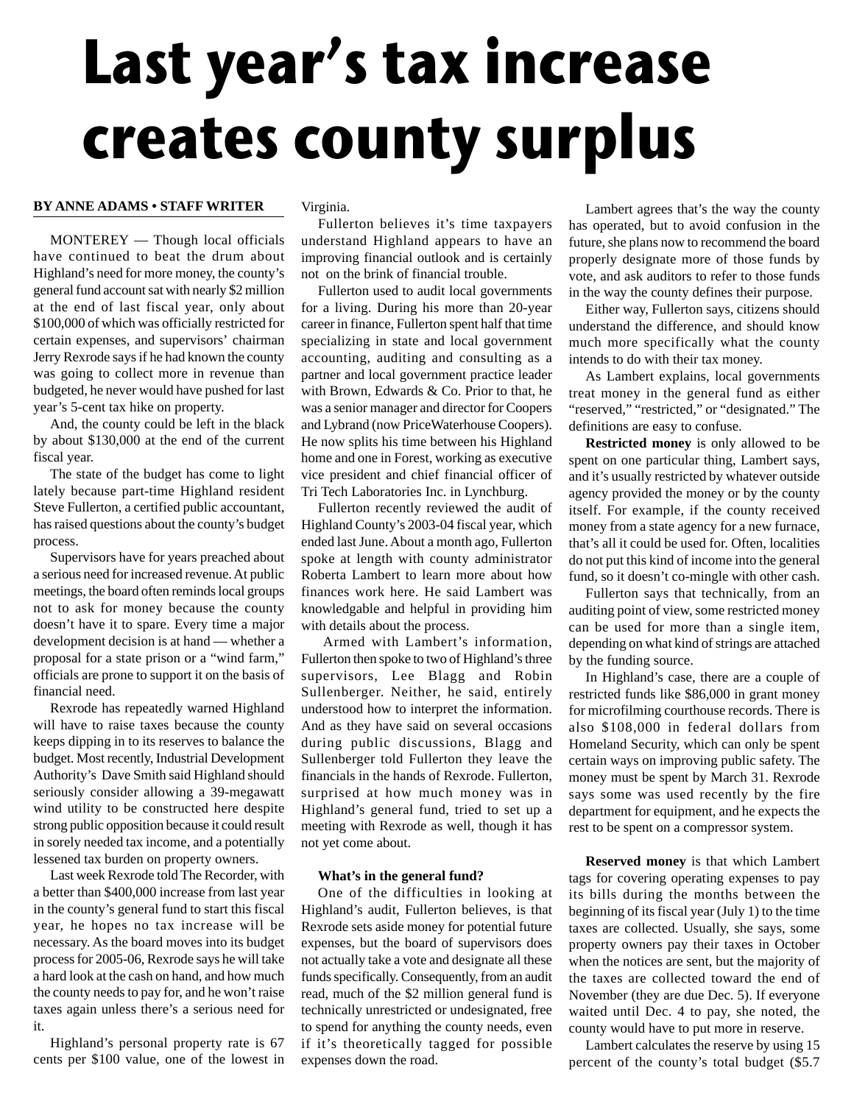# **Last year's tax increase creates county surplus**

# **BY ANNE ADAMS • STAFF WRITER**

MONTEREY — Though local officials have continued to beat the drum about Highland's need for more money, the county's general fund account sat with nearly \$2 million at the end of last fiscal year, only about \$100,000 of which was officially restricted for certain expenses, and supervisors' chairman Jerry Rexrode says if he had known the county was going to collect more in revenue than budgeted, he never would have pushed for last year's 5-cent tax hike on property.

And, the county could be left in the black by about \$130,000 at the end of the current fiscal year.

The state of the budget has come to light lately because part-time Highland resident Steve Fullerton, a certified public accountant, has raised questions about the county's budget process.

Supervisors have for years preached about a serious need for increased revenue. At public meetings, the board often reminds local groups not to ask for money because the county doesn't have it to spare. Every time a major development decision is at hand — whether a proposal for a state prison or a "wind farm," officials are prone to support it on the basis of financial need.

Rexrode has repeatedly warned Highland will have to raise taxes because the county keeps dipping in to its reserves to balance the budget. Most recently, Industrial Development Authority's Dave Smith said Highland should seriously consider allowing a 39-megawatt wind utility to be constructed here despite strong public opposition because it could result in sorely needed tax income, and a potentially lessened tax burden on property owners.

Last week Rexrode told The Recorder, with a better than \$400,000 increase from last year in the county's general fund to start this fiscal year, he hopes no tax increase will be necessary. As the board moves into its budget process for 2005-06, Rexrode says he will take a hard look at the cash on hand, and how much the county needs to pay for, and he won't raise taxes again unless there's a serious need for it.

Highland's personal property rate is 67 cents per \$100 value, one of the lowest in Virginia.

Fullerton believes it's time taxpayers understand Highland appears to have an improving financial outlook and is certainly not on the brink of financial trouble.

Fullerton used to audit local governments for a living. During his more than 20-year career in finance, Fullerton spent half that time specializing in state and local government accounting, auditing and consulting as a partner and local government practice leader with Brown, Edwards & Co. Prior to that, he was a senior manager and director for Coopers and Lybrand (now PriceWaterhouse Coopers). He now splits his time between his Highland home and one in Forest, working as executive vice president and chief financial officer of Tri Tech Laboratories Inc. in Lynchburg.

Fullerton recently reviewed the audit of Highland County's 2003-04 fiscal year, which ended last June. About a month ago, Fullerton spoke at length with county administrator Roberta Lambert to learn more about how finances work here. He said Lambert was knowledgable and helpful in providing him with details about the process.

Armed with Lambert's information, Fullerton then spoke to two of Highland's three supervisors, Lee Blagg and Robin Sullenberger. Neither, he said, entirely understood how to interpret the information. And as they have said on several occasions during public discussions, Blagg and Sullenberger told Fullerton they leave the financials in the hands of Rexrode. Fullerton, surprised at how much money was in Highland's general fund, tried to set up a meeting with Rexrode as well, though it has not yet come about.

## **What's in the general fund?**

One of the difficulties in looking at Highland's audit, Fullerton believes, is that Rexrode sets aside money for potential future expenses, but the board of supervisors does not actually take a vote and designate all these funds specifically. Consequently, from an audit read, much of the \$2 million general fund is technically unrestricted or undesignated, free to spend for anything the county needs, even if it's theoretically tagged for possible expenses down the road.

Lambert agrees that's the way the county has operated, but to avoid confusion in the future, she plans now to recommend the board properly designate more of those funds by vote, and ask auditors to refer to those funds in the way the county defines their purpose.

Either way, Fullerton says, citizens should understand the difference, and should know much more specifically what the county intends to do with their tax money.

As Lambert explains, local governments treat money in the general fund as either "reserved," "restricted," or "designated." The definitions are easy to confuse.

**Restricted money** is only allowed to be spent on one particular thing, Lambert says, and it's usually restricted by whatever outside agency provided the money or by the county itself. For example, if the county received money from a state agency for a new furnace, that's all it could be used for. Often, localities do not put this kind of income into the general fund, so it doesn't co-mingle with other cash.

Fullerton says that technically, from an auditing point of view, some restricted money can be used for more than a single item, depending on what kind of strings are attached by the funding source.

In Highland's case, there are a couple of restricted funds like \$86,000 in grant money for microfilming courthouse records. There is also \$108,000 in federal dollars from Homeland Security, which can only be spent certain ways on improving public safety. The money must be spent by March 31. Rexrode says some was used recently by the fire department for equipment, and he expects the rest to be spent on a compressor system.

**Reserved money** is that which Lambert tags for covering operating expenses to pay its bills during the months between the beginning of its fiscal year (July 1) to the time taxes are collected. Usually, she says, some property owners pay their taxes in October when the notices are sent, but the majority of the taxes are collected toward the end of November (they are due Dec. 5). If everyone waited until Dec. 4 to pay, she noted, the county would have to put more in reserve.

Lambert calculates the reserve by using 15 percent of the county's total budget (\$5.7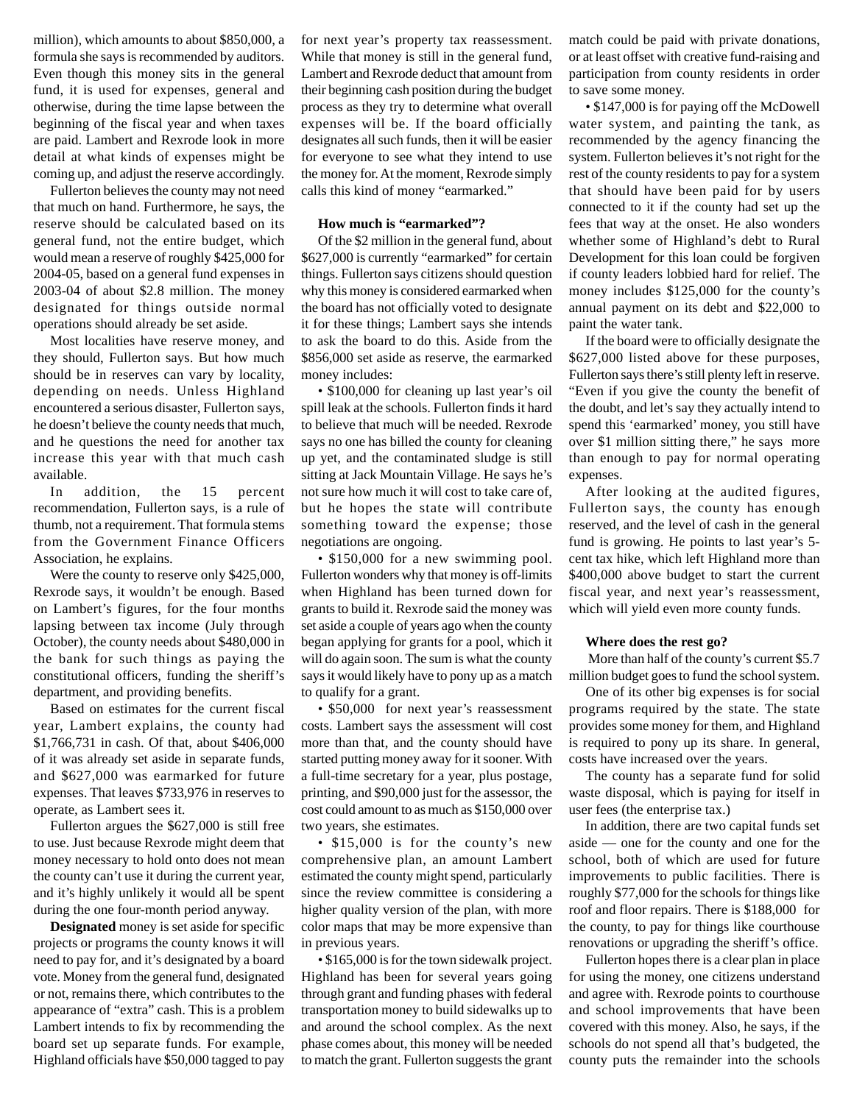million), which amounts to about \$850,000, a formula she says is recommended by auditors. Even though this money sits in the general fund, it is used for expenses, general and otherwise, during the time lapse between the beginning of the fiscal year and when taxes are paid. Lambert and Rexrode look in more detail at what kinds of expenses might be coming up, and adjust the reserve accordingly.

Fullerton believes the county may not need that much on hand. Furthermore, he says, the reserve should be calculated based on its general fund, not the entire budget, which would mean a reserve of roughly \$425,000 for 2004-05, based on a general fund expenses in 2003-04 of about \$2.8 million. The money designated for things outside normal operations should already be set aside.

Most localities have reserve money, and they should, Fullerton says. But how much should be in reserves can vary by locality, depending on needs. Unless Highland encountered a serious disaster, Fullerton says, he doesn't believe the county needs that much, and he questions the need for another tax increase this year with that much cash available.

In addition, the 15 percent recommendation, Fullerton says, is a rule of thumb, not a requirement. That formula stems from the Government Finance Officers Association, he explains.

Were the county to reserve only \$425,000, Rexrode says, it wouldn't be enough. Based on Lambert's figures, for the four months lapsing between tax income (July through October), the county needs about \$480,000 in the bank for such things as paying the constitutional officers, funding the sheriff's department, and providing benefits.

Based on estimates for the current fiscal year, Lambert explains, the county had \$1,766,731 in cash. Of that, about \$406,000 of it was already set aside in separate funds, and \$627,000 was earmarked for future expenses. That leaves \$733,976 in reserves to operate, as Lambert sees it.

Fullerton argues the \$627,000 is still free to use. Just because Rexrode might deem that money necessary to hold onto does not mean the county can't use it during the current year, and it's highly unlikely it would all be spent during the one four-month period anyway.

**Designated** money is set aside for specific projects or programs the county knows it will need to pay for, and it's designated by a board vote. Money from the general fund, designated or not, remains there, which contributes to the appearance of "extra" cash. This is a problem Lambert intends to fix by recommending the board set up separate funds. For example, Highland officials have \$50,000 tagged to pay for next year's property tax reassessment. While that money is still in the general fund, Lambert and Rexrode deduct that amount from their beginning cash position during the budget process as they try to determine what overall expenses will be. If the board officially designates all such funds, then it will be easier for everyone to see what they intend to use the money for. At the moment, Rexrode simply calls this kind of money "earmarked."

### **How much is "earmarked"?**

Of the \$2 million in the general fund, about \$627,000 is currently "earmarked" for certain things. Fullerton says citizens should question why this money is considered earmarked when the board has not officially voted to designate it for these things; Lambert says she intends to ask the board to do this. Aside from the \$856,000 set aside as reserve, the earmarked money includes:

• \$100,000 for cleaning up last year's oil spill leak at the schools. Fullerton finds it hard to believe that much will be needed. Rexrode says no one has billed the county for cleaning up yet, and the contaminated sludge is still sitting at Jack Mountain Village. He says he's not sure how much it will cost to take care of, but he hopes the state will contribute something toward the expense; those negotiations are ongoing.

• \$150,000 for a new swimming pool. Fullerton wonders why that money is off-limits when Highland has been turned down for grants to build it. Rexrode said the money was set aside a couple of years ago when the county began applying for grants for a pool, which it will do again soon. The sum is what the county says it would likely have to pony up as a match to qualify for a grant.

• \$50,000 for next year's reassessment costs. Lambert says the assessment will cost more than that, and the county should have started putting money away for it sooner. With a full-time secretary for a year, plus postage, printing, and \$90,000 just for the assessor, the cost could amount to as much as \$150,000 over two years, she estimates.

• \$15,000 is for the county's new comprehensive plan, an amount Lambert estimated the county might spend, particularly since the review committee is considering a higher quality version of the plan, with more color maps that may be more expensive than in previous years.

• \$165,000 is for the town sidewalk project. Highland has been for several years going through grant and funding phases with federal transportation money to build sidewalks up to and around the school complex. As the next phase comes about, this money will be needed to match the grant. Fullerton suggests the grant

match could be paid with private donations, or at least offset with creative fund-raising and participation from county residents in order to save some money.

• \$147,000 is for paying off the McDowell water system, and painting the tank, as recommended by the agency financing the system. Fullerton believes it's not right for the rest of the county residents to pay for a system that should have been paid for by users connected to it if the county had set up the fees that way at the onset. He also wonders whether some of Highland's debt to Rural Development for this loan could be forgiven if county leaders lobbied hard for relief. The money includes \$125,000 for the county's annual payment on its debt and \$22,000 to paint the water tank.

If the board were to officially designate the \$627,000 listed above for these purposes, Fullerton says there's still plenty left in reserve. "Even if you give the county the benefit of the doubt, and let's say they actually intend to spend this 'earmarked' money, you still have over \$1 million sitting there," he says more than enough to pay for normal operating expenses.

After looking at the audited figures, Fullerton says, the county has enough reserved, and the level of cash in the general fund is growing. He points to last year's 5 cent tax hike, which left Highland more than \$400,000 above budget to start the current fiscal year, and next year's reassessment, which will yield even more county funds.

### **Where does the rest go?**

More than half of the county's current \$5.7 million budget goes to fund the school system.

One of its other big expenses is for social programs required by the state. The state provides some money for them, and Highland is required to pony up its share. In general, costs have increased over the years.

The county has a separate fund for solid waste disposal, which is paying for itself in user fees (the enterprise tax.)

In addition, there are two capital funds set aside — one for the county and one for the school, both of which are used for future improvements to public facilities. There is roughly \$77,000 for the schools for things like roof and floor repairs. There is \$188,000 for the county, to pay for things like courthouse renovations or upgrading the sheriff's office.

Fullerton hopes there is a clear plan in place for using the money, one citizens understand and agree with. Rexrode points to courthouse and school improvements that have been covered with this money. Also, he says, if the schools do not spend all that's budgeted, the county puts the remainder into the schools